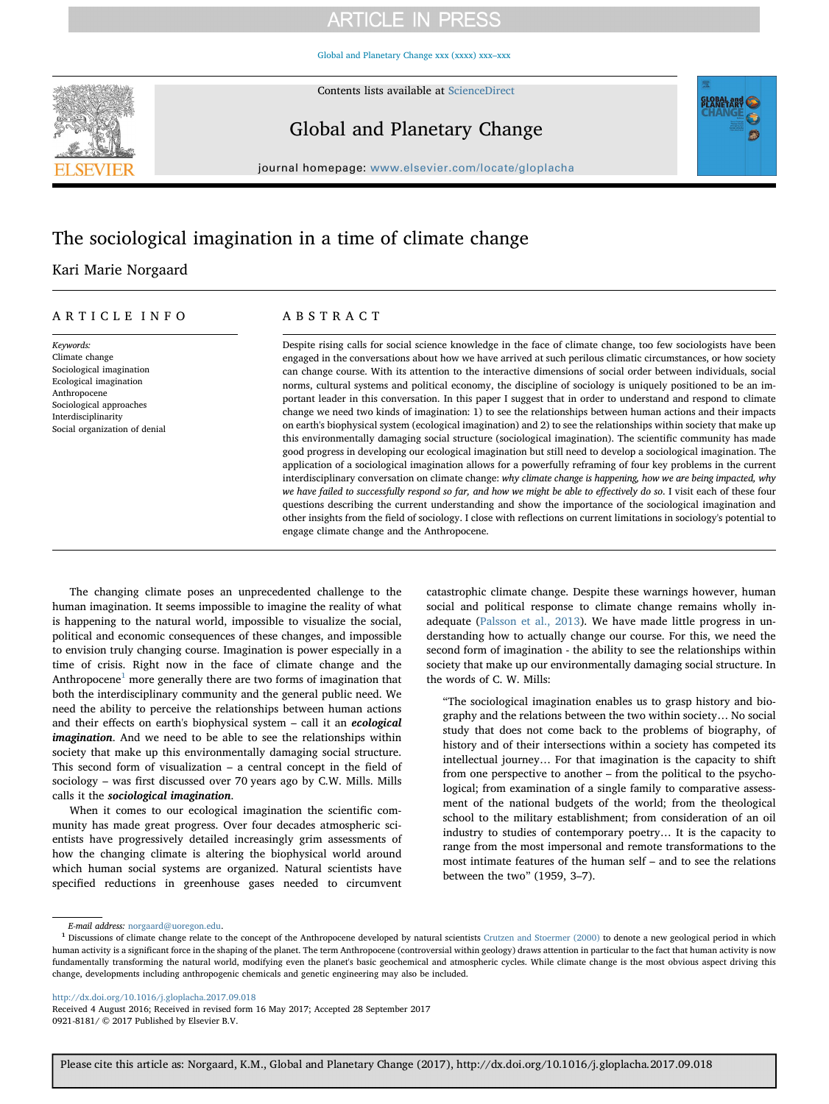# **ARTICLE IN PRESS**

[Global and Planetary Change xxx \(xxxx\) xxx–xxx](http://dx.doi.org/10.1016/j.gloplacha.2017.09.018)



Contents lists available at [ScienceDirect](http://www.sciencedirect.com/science/journal/09218181)

# Global and Planetary Change



journal homepage: [www.elsevier.com/locate/gloplacha](https://www.elsevier.com/locate/gloplacha)

# The sociological imagination in a time of climate change

## Kari Marie Norgaard

## ARTICLE INFO

Keywords: Climate change Sociological imagination Ecological imagination Anthropocene Sociological approaches Interdisciplinarity Social organization of denial

## ABSTRACT

Despite rising calls for social science knowledge in the face of climate change, too few sociologists have been engaged in the conversations about how we have arrived at such perilous climatic circumstances, or how society can change course. With its attention to the interactive dimensions of social order between individuals, social norms, cultural systems and political economy, the discipline of sociology is uniquely positioned to be an important leader in this conversation. In this paper I suggest that in order to understand and respond to climate change we need two kinds of imagination: 1) to see the relationships between human actions and their impacts on earth's biophysical system (ecological imagination) and 2) to see the relationships within society that make up this environmentally damaging social structure (sociological imagination). The scientific community has made good progress in developing our ecological imagination but still need to develop a sociological imagination. The application of a sociological imagination allows for a powerfully reframing of four key problems in the current interdisciplinary conversation on climate change: why climate change is happening, how we are being impacted, why we have failed to successfully respond so far, and how we might be able to effectively do so. I visit each of these four questions describing the current understanding and show the importance of the sociological imagination and other insights from the field of sociology. I close with reflections on current limitations in sociology's potential to engage climate change and the Anthropocene.

The changing climate poses an unprecedented challenge to the human imagination. It seems impossible to imagine the reality of what is happening to the natural world, impossible to visualize the social, political and economic consequences of these changes, and impossible to envision truly changing course. Imagination is power especially in a time of crisis. Right now in the face of climate change and the Anthropocene<sup>[1](#page-0-0)</sup> more generally there are two forms of imagination that both the interdisciplinary community and the general public need. We need the ability to perceive the relationships between human actions and their effects on earth's biophysical system – call it an ecological imagination. And we need to be able to see the relationships within society that make up this environmentally damaging social structure. This second form of visualization – a central concept in the field of sociology – was first discussed over 70 years ago by C.W. Mills. Mills calls it the sociological imagination.

When it comes to our ecological imagination the scientific community has made great progress. Over four decades atmospheric scientists have progressively detailed increasingly grim assessments of how the changing climate is altering the biophysical world around which human social systems are organized. Natural scientists have specified reductions in greenhouse gases needed to circumvent catastrophic climate change. Despite these warnings however, human social and political response to climate change remains wholly inadequate [\(Palsson et al., 2013\)](#page-4-0). We have made little progress in understanding how to actually change our course. For this, we need the second form of imagination - the ability to see the relationships within society that make up our environmentally damaging social structure. In the words of C. W. Mills:

"The sociological imagination enables us to grasp history and biography and the relations between the two within society… No social study that does not come back to the problems of biography, of history and of their intersections within a society has competed its intellectual journey… For that imagination is the capacity to shift from one perspective to another – from the political to the psychological; from examination of a single family to comparative assessment of the national budgets of the world; from the theological school to the military establishment; from consideration of an oil industry to studies of contemporary poetry… It is the capacity to range from the most impersonal and remote transformations to the most intimate features of the human self – and to see the relations between the two" (1959, 3–7).

<http://dx.doi.org/10.1016/j.gloplacha.2017.09.018>

<span id="page-0-0"></span>*E-mail address:* [norgaard@uoregon.edu.](mailto:norgaard@uoregon.edu)<br><sup>1</sup> Discussions of climate change relate to the concept of the Anthropocene developed by natural scientists [Crutzen and Stoermer \(2000\)](#page-4-1) to denote a new geological period in which human activity is a significant force in the shaping of the planet. The term Anthropocene (controversial within geology) draws attention in particular to the fact that human activity is now fundamentally transforming the natural world, modifying even the planet's basic geochemical and atmospheric cycles. While climate change is the most obvious aspect driving this change, developments including anthropogenic chemicals and genetic engineering may also be included.

Received 4 August 2016; Received in revised form 16 May 2017; Accepted 28 September 2017 0921-8181/ © 2017 Published by Elsevier B.V.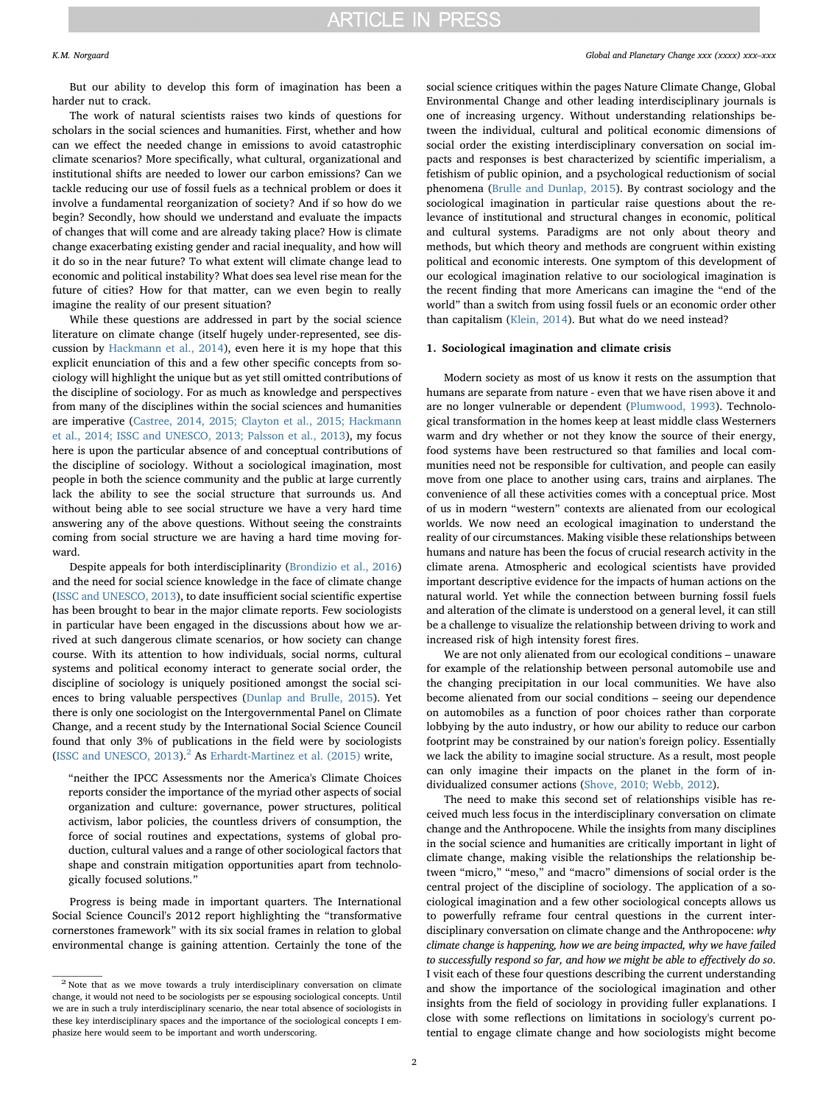But our ability to develop this form of imagination has been a harder nut to crack.

The work of natural scientists raises two kinds of questions for scholars in the social sciences and humanities. First, whether and how can we effect the needed change in emissions to avoid catastrophic climate scenarios? More specifically, what cultural, organizational and institutional shifts are needed to lower our carbon emissions? Can we tackle reducing our use of fossil fuels as a technical problem or does it involve a fundamental reorganization of society? And if so how do we begin? Secondly, how should we understand and evaluate the impacts of changes that will come and are already taking place? How is climate change exacerbating existing gender and racial inequality, and how will it do so in the near future? To what extent will climate change lead to economic and political instability? What does sea level rise mean for the future of cities? How for that matter, can we even begin to really imagine the reality of our present situation?

While these questions are addressed in part by the social science literature on climate change (itself hugely under-represented, see discussion by [Hackmann et al., 2014\)](#page-4-2), even here it is my hope that this explicit enunciation of this and a few other specific concepts from sociology will highlight the unique but as yet still omitted contributions of the discipline of sociology. For as much as knowledge and perspectives from many of the disciplines within the social sciences and humanities are imperative ([Castree, 2014, 2015; Clayton et al., 2015; Hackmann](#page-4-3) [et al., 2014; ISSC and UNESCO, 2013; Palsson et al., 2013](#page-4-3)), my focus here is upon the particular absence of and conceptual contributions of the discipline of sociology. Without a sociological imagination, most people in both the science community and the public at large currently lack the ability to see the social structure that surrounds us. And without being able to see social structure we have a very hard time answering any of the above questions. Without seeing the constraints coming from social structure we are having a hard time moving forward.

Despite appeals for both interdisciplinarity [\(Brondizio et al., 2016\)](#page-4-4) and the need for social science knowledge in the face of climate change ([ISSC and UNESCO, 2013\)](#page-4-5), to date insufficient social scientific expertise has been brought to bear in the major climate reports. Few sociologists in particular have been engaged in the discussions about how we arrived at such dangerous climate scenarios, or how society can change course. With its attention to how individuals, social norms, cultural systems and political economy interact to generate social order, the discipline of sociology is uniquely positioned amongst the social sciences to bring valuable perspectives [\(Dunlap and Brulle, 2015](#page-4-6)). Yet there is only one sociologist on the Intergovernmental Panel on Climate Change, and a recent study by the International Social Science Council found that only 3% of publications in the field were by sociologists ([ISSC and UNESCO, 2013\)](#page-4-5).<sup>[2](#page-1-0)</sup> As [Erhardt-Martinez et al. \(2015\)](#page-4-7) write,

"neither the IPCC Assessments nor the America's Climate Choices reports consider the importance of the myriad other aspects of social organization and culture: governance, power structures, political activism, labor policies, the countless drivers of consumption, the force of social routines and expectations, systems of global production, cultural values and a range of other sociological factors that shape and constrain mitigation opportunities apart from technologically focused solutions."

Progress is being made in important quarters. The International Social Science Council's 2012 report highlighting the "transformative cornerstones framework" with its six social frames in relation to global environmental change is gaining attention. Certainly the tone of the

social science critiques within the pages Nature Climate Change, Global Environmental Change and other leading interdisciplinary journals is one of increasing urgency. Without understanding relationships between the individual, cultural and political economic dimensions of social order the existing interdisciplinary conversation on social impacts and responses is best characterized by scientific imperialism, a fetishism of public opinion, and a psychological reductionism of social phenomena ([Brulle and Dunlap, 2015\)](#page-4-8). By contrast sociology and the sociological imagination in particular raise questions about the relevance of institutional and structural changes in economic, political and cultural systems. Paradigms are not only about theory and methods, but which theory and methods are congruent within existing political and economic interests. One symptom of this development of our ecological imagination relative to our sociological imagination is the recent finding that more Americans can imagine the "end of the world" than a switch from using fossil fuels or an economic order other than capitalism ([Klein, 2014](#page-4-9)). But what do we need instead?

### 1. Sociological imagination and climate crisis

Modern society as most of us know it rests on the assumption that humans are separate from nature - even that we have risen above it and are no longer vulnerable or dependent [\(Plumwood, 1993](#page-4-10)). Technological transformation in the homes keep at least middle class Westerners warm and dry whether or not they know the source of their energy, food systems have been restructured so that families and local communities need not be responsible for cultivation, and people can easily move from one place to another using cars, trains and airplanes. The convenience of all these activities comes with a conceptual price. Most of us in modern "western" contexts are alienated from our ecological worlds. We now need an ecological imagination to understand the reality of our circumstances. Making visible these relationships between humans and nature has been the focus of crucial research activity in the climate arena. Atmospheric and ecological scientists have provided important descriptive evidence for the impacts of human actions on the natural world. Yet while the connection between burning fossil fuels and alteration of the climate is understood on a general level, it can still be a challenge to visualize the relationship between driving to work and increased risk of high intensity forest fires.

We are not only alienated from our ecological conditions – unaware for example of the relationship between personal automobile use and the changing precipitation in our local communities. We have also become alienated from our social conditions – seeing our dependence on automobiles as a function of poor choices rather than corporate lobbying by the auto industry, or how our ability to reduce our carbon footprint may be constrained by our nation's foreign policy. Essentially we lack the ability to imagine social structure. As a result, most people can only imagine their impacts on the planet in the form of individualized consumer actions [\(Shove, 2010; Webb, 2012\)](#page-5-0).

The need to make this second set of relationships visible has received much less focus in the interdisciplinary conversation on climate change and the Anthropocene. While the insights from many disciplines in the social science and humanities are critically important in light of climate change, making visible the relationships the relationship between "micro," "meso," and "macro" dimensions of social order is the central project of the discipline of sociology. The application of a sociological imagination and a few other sociological concepts allows us to powerfully reframe four central questions in the current interdisciplinary conversation on climate change and the Anthropocene: why climate change is happening, how we are being impacted, why we have failed to successfully respond so far, and how we might be able to effectively do so. I visit each of these four questions describing the current understanding and show the importance of the sociological imagination and other insights from the field of sociology in providing fuller explanations. I close with some reflections on limitations in sociology's current potential to engage climate change and how sociologists might become

<span id="page-1-0"></span> $2$  Note that as we move towards a truly interdisciplinary conversation on climate change, it would not need to be sociologists per se espousing sociological concepts. Until we are in such a truly interdisciplinary scenario, the near total absence of sociologists in these key interdisciplinary spaces and the importance of the sociological concepts I emphasize here would seem to be important and worth underscoring.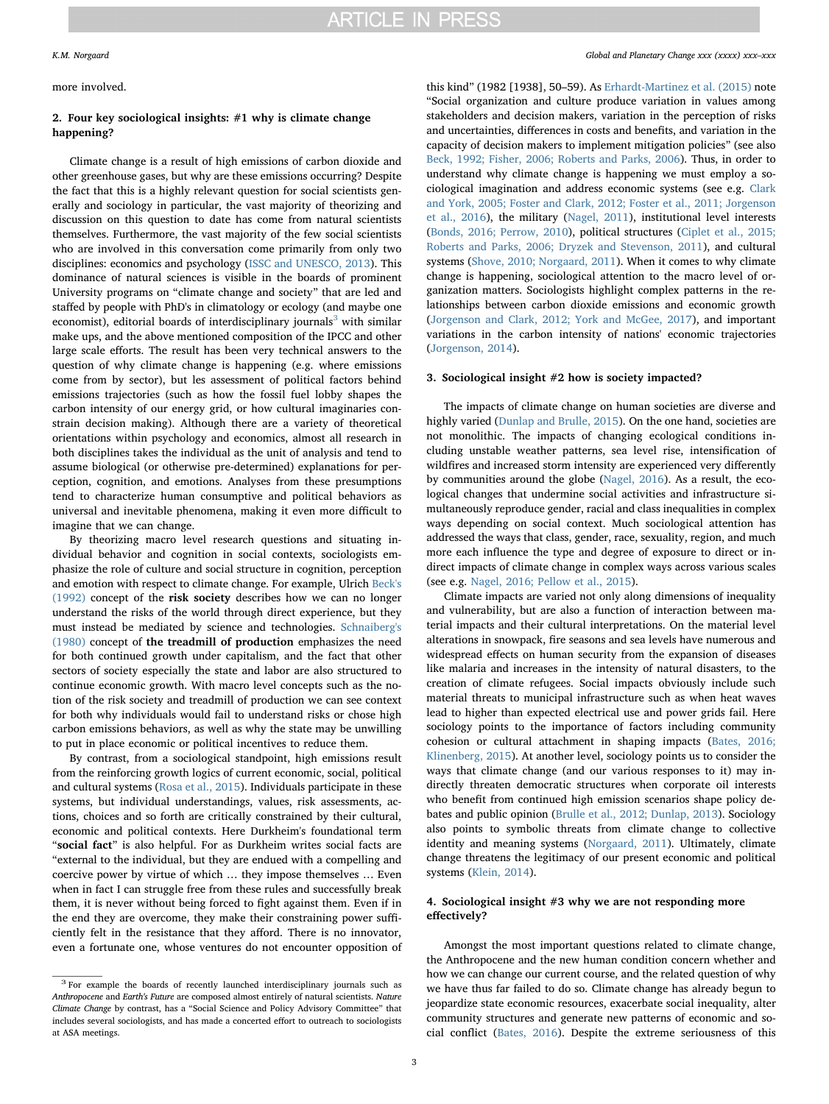more involved.

### 2. Four key sociological insights: #1 why is climate change happening?

Climate change is a result of high emissions of carbon dioxide and other greenhouse gases, but why are these emissions occurring? Despite the fact that this is a highly relevant question for social scientists generally and sociology in particular, the vast majority of theorizing and discussion on this question to date has come from natural scientists themselves. Furthermore, the vast majority of the few social scientists who are involved in this conversation come primarily from only two disciplines: economics and psychology ([ISSC and UNESCO, 2013](#page-4-5)). This dominance of natural sciences is visible in the boards of prominent University programs on "climate change and society" that are led and staffed by people with PhD's in climatology or ecology (and maybe one economist), editorial boards of interdisciplinary journals<sup>[3](#page-2-0)</sup> with similar make ups, and the above mentioned composition of the IPCC and other large scale efforts. The result has been very technical answers to the question of why climate change is happening (e.g. where emissions come from by sector), but les assessment of political factors behind emissions trajectories (such as how the fossil fuel lobby shapes the carbon intensity of our energy grid, or how cultural imaginaries constrain decision making). Although there are a variety of theoretical orientations within psychology and economics, almost all research in both disciplines takes the individual as the unit of analysis and tend to assume biological (or otherwise pre-determined) explanations for perception, cognition, and emotions. Analyses from these presumptions tend to characterize human consumptive and political behaviors as universal and inevitable phenomena, making it even more difficult to imagine that we can change.

By theorizing macro level research questions and situating individual behavior and cognition in social contexts, sociologists emphasize the role of culture and social structure in cognition, perception and emotion with respect to climate change. For example, Ulrich [Beck's](#page-4-11) [\(1992\)](#page-4-11) concept of the risk society describes how we can no longer understand the risks of the world through direct experience, but they must instead be mediated by science and technologies. [Schnaiberg's](#page-5-1) [\(1980\)](#page-5-1) concept of the treadmill of production emphasizes the need for both continued growth under capitalism, and the fact that other sectors of society especially the state and labor are also structured to continue economic growth. With macro level concepts such as the notion of the risk society and treadmill of production we can see context for both why individuals would fail to understand risks or chose high carbon emissions behaviors, as well as why the state may be unwilling to put in place economic or political incentives to reduce them.

By contrast, from a sociological standpoint, high emissions result from the reinforcing growth logics of current economic, social, political and cultural systems [\(Rosa et al., 2015\)](#page-5-2). Individuals participate in these systems, but individual understandings, values, risk assessments, actions, choices and so forth are critically constrained by their cultural, economic and political contexts. Here Durkheim's foundational term "social fact" is also helpful. For as Durkheim writes social facts are "external to the individual, but they are endued with a compelling and coercive power by virtue of which … they impose themselves … Even when in fact I can struggle free from these rules and successfully break them, it is never without being forced to fight against them. Even if in the end they are overcome, they make their constraining power sufficiently felt in the resistance that they afford. There is no innovator, even a fortunate one, whose ventures do not encounter opposition of

this kind" (1982 [1938], 50–59). As [Erhardt-Martinez et al. \(2015\)](#page-4-7) note "Social organization and culture produce variation in values among stakeholders and decision makers, variation in the perception of risks and uncertainties, differences in costs and benefits, and variation in the capacity of decision makers to implement mitigation policies" (see also [Beck, 1992; Fisher, 2006; Roberts and Parks, 2006\)](#page-4-11). Thus, in order to understand why climate change is happening we must employ a sociological imagination and address economic systems (see e.g. [Clark](#page-4-12) [and York, 2005; Foster and Clark, 2012; Foster et al., 2011; Jorgenson](#page-4-12) [et al., 2016](#page-4-12)), the military ([Nagel, 2011](#page-4-13)), institutional level interests ([Bonds, 2016; Perrow, 2010](#page-4-14)), political structures ([Ciplet et al., 2015;](#page-4-15) [Roberts and Parks, 2006; Dryzek and Stevenson, 2011](#page-4-15)), and cultural systems [\(Shove, 2010; Norgaard, 2011\)](#page-5-0). When it comes to why climate change is happening, sociological attention to the macro level of organization matters. Sociologists highlight complex patterns in the relationships between carbon dioxide emissions and economic growth ([Jorgenson and Clark, 2012; York and McGee, 2017](#page-4-16)), and important variations in the carbon intensity of nations' economic trajectories ([Jorgenson, 2014](#page-4-17)).

### 3. Sociological insight #2 how is society impacted?

The impacts of climate change on human societies are diverse and highly varied [\(Dunlap and Brulle, 2015\)](#page-4-6). On the one hand, societies are not monolithic. The impacts of changing ecological conditions including unstable weather patterns, sea level rise, intensification of wildfires and increased storm intensity are experienced very differently by communities around the globe ([Nagel, 2016](#page-4-18)). As a result, the ecological changes that undermine social activities and infrastructure simultaneously reproduce gender, racial and class inequalities in complex ways depending on social context. Much sociological attention has addressed the ways that class, gender, race, sexuality, region, and much more each influence the type and degree of exposure to direct or indirect impacts of climate change in complex ways across various scales (see e.g. [Nagel, 2016; Pellow et al., 2015\)](#page-4-18).

Climate impacts are varied not only along dimensions of inequality and vulnerability, but are also a function of interaction between material impacts and their cultural interpretations. On the material level alterations in snowpack, fire seasons and sea levels have numerous and widespread effects on human security from the expansion of diseases like malaria and increases in the intensity of natural disasters, to the creation of climate refugees. Social impacts obviously include such material threats to municipal infrastructure such as when heat waves lead to higher than expected electrical use and power grids fail. Here sociology points to the importance of factors including community cohesion or cultural attachment in shaping impacts ([Bates, 2016;](#page-4-19) [Klinenberg, 2015](#page-4-19)). At another level, sociology points us to consider the ways that climate change (and our various responses to it) may indirectly threaten democratic structures when corporate oil interests who benefit from continued high emission scenarios shape policy debates and public opinion [\(Brulle et al., 2012; Dunlap, 2013\)](#page-4-20). Sociology also points to symbolic threats from climate change to collective identity and meaning systems ([Norgaard, 2011\)](#page-4-21). Ultimately, climate change threatens the legitimacy of our present economic and political systems [\(Klein, 2014\)](#page-4-9).

### 4. Sociological insight #3 why we are not responding more effectively?

Amongst the most important questions related to climate change, the Anthropocene and the new human condition concern whether and how we can change our current course, and the related question of why we have thus far failed to do so. Climate change has already begun to jeopardize state economic resources, exacerbate social inequality, alter community structures and generate new patterns of economic and social conflict [\(Bates, 2016\)](#page-4-19). Despite the extreme seriousness of this

<span id="page-2-0"></span> $^3$  For example the boards of recently launched interdisciplinary journals such as Anthropocene and Earth's Future are composed almost entirely of natural scientists. Nature Climate Change by contrast, has a "Social Science and Policy Advisory Committee" that includes several sociologists, and has made a concerted effort to outreach to sociologists at ASA meetings.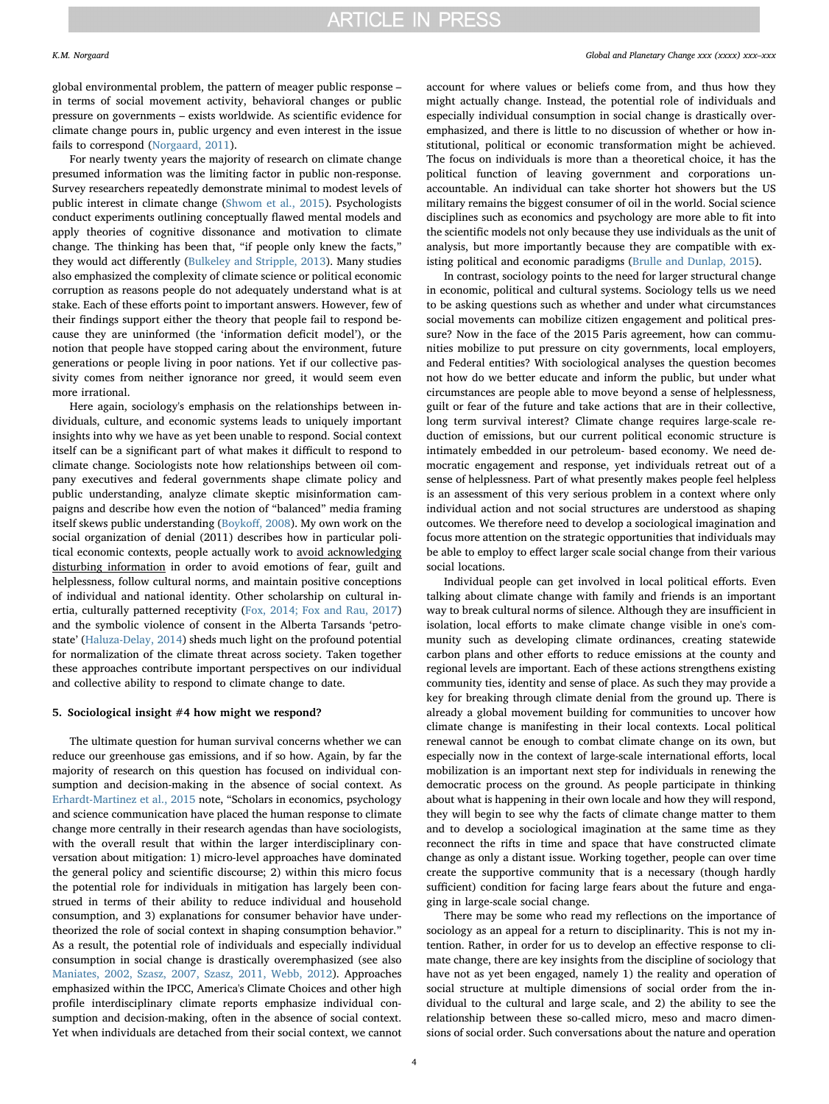global environmental problem, the pattern of meager public response – in terms of social movement activity, behavioral changes or public pressure on governments – exists worldwide. As scientific evidence for climate change pours in, public urgency and even interest in the issue fails to correspond [\(Norgaard, 2011](#page-4-21)).

For nearly twenty years the majority of research on climate change presumed information was the limiting factor in public non-response. Survey researchers repeatedly demonstrate minimal to modest levels of public interest in climate change [\(Shwom et al., 2015](#page-5-3)). Psychologists conduct experiments outlining conceptually flawed mental models and apply theories of cognitive dissonance and motivation to climate change. The thinking has been that, "if people only knew the facts," they would act differently [\(Bulkeley and Stripple, 2013](#page-4-22)). Many studies also emphasized the complexity of climate science or political economic corruption as reasons people do not adequately understand what is at stake. Each of these efforts point to important answers. However, few of their findings support either the theory that people fail to respond because they are uninformed (the 'information deficit model'), or the notion that people have stopped caring about the environment, future generations or people living in poor nations. Yet if our collective passivity comes from neither ignorance nor greed, it would seem even more irrational.

Here again, sociology's emphasis on the relationships between individuals, culture, and economic systems leads to uniquely important insights into why we have as yet been unable to respond. Social context itself can be a significant part of what makes it difficult to respond to climate change. Sociologists note how relationships between oil company executives and federal governments shape climate policy and public understanding, analyze climate skeptic misinformation campaigns and describe how even the notion of "balanced" media framing itself skews public understanding (Boykoff[, 2008\)](#page-4-23). My own work on the social organization of denial (2011) describes how in particular political economic contexts, people actually work to avoid acknowledging disturbing information in order to avoid emotions of fear, guilt and helplessness, follow cultural norms, and maintain positive conceptions of individual and national identity. Other scholarship on cultural inertia, culturally patterned receptivity [\(Fox, 2014; Fox and Rau, 2017\)](#page-4-24) and the symbolic violence of consent in the Alberta Tarsands 'petrostate' [\(Haluza-Delay, 2014](#page-4-25)) sheds much light on the profound potential for normalization of the climate threat across society. Taken together these approaches contribute important perspectives on our individual and collective ability to respond to climate change to date.

## 5. Sociological insight #4 how might we respond?

The ultimate question for human survival concerns whether we can reduce our greenhouse gas emissions, and if so how. Again, by far the majority of research on this question has focused on individual consumption and decision-making in the absence of social context. As [Erhardt-Martinez et al., 2015](#page-4-7) note, "Scholars in economics, psychology and science communication have placed the human response to climate change more centrally in their research agendas than have sociologists, with the overall result that within the larger interdisciplinary conversation about mitigation: 1) micro-level approaches have dominated the general policy and scientific discourse; 2) within this micro focus the potential role for individuals in mitigation has largely been construed in terms of their ability to reduce individual and household consumption, and 3) explanations for consumer behavior have undertheorized the role of social context in shaping consumption behavior." As a result, the potential role of individuals and especially individual consumption in social change is drastically overemphasized (see also [Maniates, 2002, Szasz, 2007, Szasz, 2011, Webb, 2012\)](#page-4-26). Approaches emphasized within the IPCC, America's Climate Choices and other high profile interdisciplinary climate reports emphasize individual consumption and decision-making, often in the absence of social context. Yet when individuals are detached from their social context, we cannot

### K.M. Norgaard *Global and Planetary Change xxx (xxxx) xxx–xxx*

account for where values or beliefs come from, and thus how they might actually change. Instead, the potential role of individuals and especially individual consumption in social change is drastically overemphasized, and there is little to no discussion of whether or how institutional, political or economic transformation might be achieved. The focus on individuals is more than a theoretical choice, it has the political function of leaving government and corporations unaccountable. An individual can take shorter hot showers but the US military remains the biggest consumer of oil in the world. Social science disciplines such as economics and psychology are more able to fit into the scientific models not only because they use individuals as the unit of analysis, but more importantly because they are compatible with existing political and economic paradigms ([Brulle and Dunlap, 2015](#page-4-8)).

In contrast, sociology points to the need for larger structural change in economic, political and cultural systems. Sociology tells us we need to be asking questions such as whether and under what circumstances social movements can mobilize citizen engagement and political pressure? Now in the face of the 2015 Paris agreement, how can communities mobilize to put pressure on city governments, local employers, and Federal entities? With sociological analyses the question becomes not how do we better educate and inform the public, but under what circumstances are people able to move beyond a sense of helplessness, guilt or fear of the future and take actions that are in their collective, long term survival interest? Climate change requires large-scale reduction of emissions, but our current political economic structure is intimately embedded in our petroleum- based economy. We need democratic engagement and response, yet individuals retreat out of a sense of helplessness. Part of what presently makes people feel helpless is an assessment of this very serious problem in a context where only individual action and not social structures are understood as shaping outcomes. We therefore need to develop a sociological imagination and focus more attention on the strategic opportunities that individuals may be able to employ to effect larger scale social change from their various social locations.

Individual people can get involved in local political efforts. Even talking about climate change with family and friends is an important way to break cultural norms of silence. Although they are insufficient in isolation, local efforts to make climate change visible in one's community such as developing climate ordinances, creating statewide carbon plans and other efforts to reduce emissions at the county and regional levels are important. Each of these actions strengthens existing community ties, identity and sense of place. As such they may provide a key for breaking through climate denial from the ground up. There is already a global movement building for communities to uncover how climate change is manifesting in their local contexts. Local political renewal cannot be enough to combat climate change on its own, but especially now in the context of large-scale international efforts, local mobilization is an important next step for individuals in renewing the democratic process on the ground. As people participate in thinking about what is happening in their own locale and how they will respond, they will begin to see why the facts of climate change matter to them and to develop a sociological imagination at the same time as they reconnect the rifts in time and space that have constructed climate change as only a distant issue. Working together, people can over time create the supportive community that is a necessary (though hardly sufficient) condition for facing large fears about the future and engaging in large-scale social change.

There may be some who read my reflections on the importance of sociology as an appeal for a return to disciplinarity. This is not my intention. Rather, in order for us to develop an effective response to climate change, there are key insights from the discipline of sociology that have not as yet been engaged, namely 1) the reality and operation of social structure at multiple dimensions of social order from the individual to the cultural and large scale, and 2) the ability to see the relationship between these so-called micro, meso and macro dimensions of social order. Such conversations about the nature and operation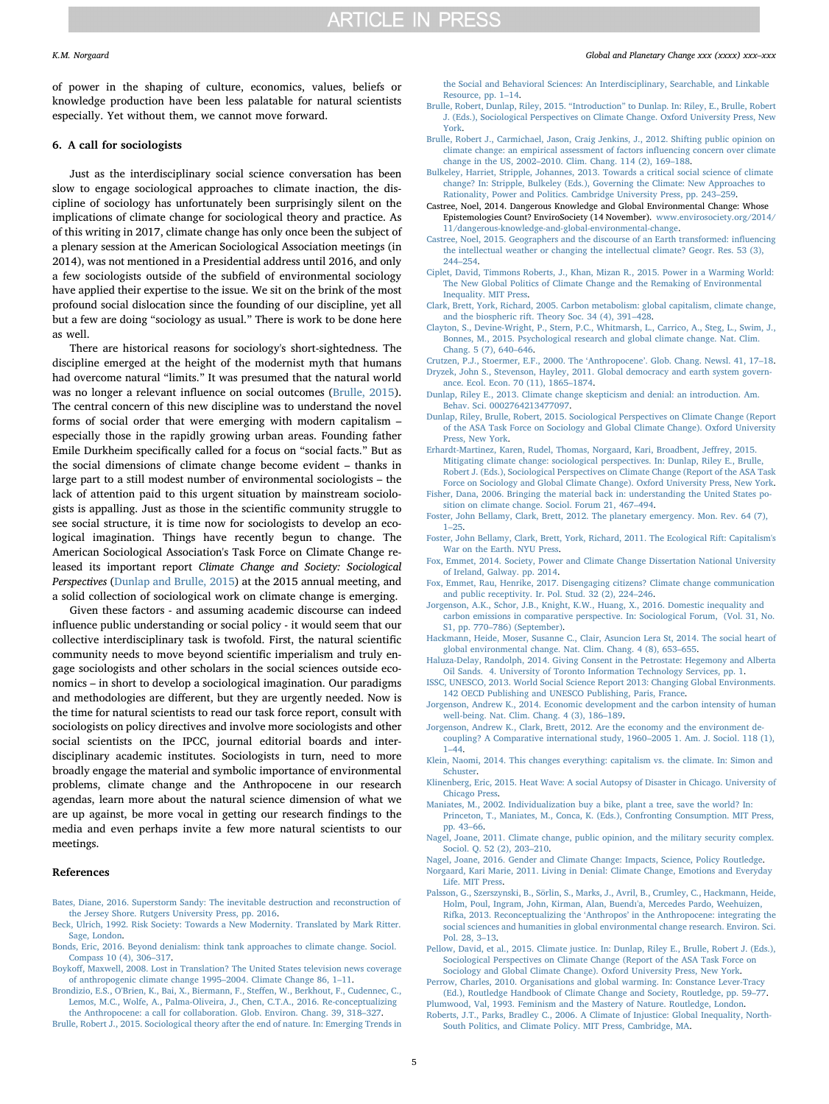of power in the shaping of culture, economics, values, beliefs or knowledge production have been less palatable for natural scientists especially. Yet without them, we cannot move forward.

### 6. A call for sociologists

Just as the interdisciplinary social science conversation has been slow to engage sociological approaches to climate inaction, the discipline of sociology has unfortunately been surprisingly silent on the implications of climate change for sociological theory and practice. As of this writing in 2017, climate change has only once been the subject of a plenary session at the American Sociological Association meetings (in 2014), was not mentioned in a Presidential address until 2016, and only a few sociologists outside of the subfield of environmental sociology have applied their expertise to the issue. We sit on the brink of the most profound social dislocation since the founding of our discipline, yet all but a few are doing "sociology as usual." There is work to be done here as well.

There are historical reasons for sociology's short-sightedness. The discipline emerged at the height of the modernist myth that humans had overcome natural "limits." It was presumed that the natural world was no longer a relevant influence on social outcomes [\(Brulle, 2015](#page-4-27)). The central concern of this new discipline was to understand the novel forms of social order that were emerging with modern capitalism – especially those in the rapidly growing urban areas. Founding father Emile Durkheim specifically called for a focus on "social facts." But as the social dimensions of climate change become evident – thanks in large part to a still modest number of environmental sociologists – the lack of attention paid to this urgent situation by mainstream sociologists is appalling. Just as those in the scientific community struggle to see social structure, it is time now for sociologists to develop an ecological imagination. Things have recently begun to change. The American Sociological Association's Task Force on Climate Change released its important report Climate Change and Society: Sociological Perspectives [\(Dunlap and Brulle, 2015\)](#page-4-6) at the 2015 annual meeting, and a solid collection of sociological work on climate change is emerging.

Given these factors - and assuming academic discourse can indeed influence public understanding or social policy - it would seem that our collective interdisciplinary task is twofold. First, the natural scientific community needs to move beyond scientific imperialism and truly engage sociologists and other scholars in the social sciences outside economics – in short to develop a sociological imagination. Our paradigms and methodologies are different, but they are urgently needed. Now is the time for natural scientists to read our task force report, consult with sociologists on policy directives and involve more sociologists and other social scientists on the IPCC, journal editorial boards and interdisciplinary academic institutes. Sociologists in turn, need to more broadly engage the material and symbolic importance of environmental problems, climate change and the Anthropocene in our research agendas, learn more about the natural science dimension of what we are up against, be more vocal in getting our research findings to the media and even perhaps invite a few more natural scientists to our meetings.

### References

<span id="page-4-19"></span>[Bates, Diane, 2016. Superstorm Sandy: The inevitable destruction and reconstruction of](http://refhub.elsevier.com/S0921-8181(16)30326-5/rf0005) [the Jersey Shore. Rutgers University Press, pp. 2016.](http://refhub.elsevier.com/S0921-8181(16)30326-5/rf0005)

<span id="page-4-11"></span>[Beck, Ulrich, 1992. Risk Society: Towards a New Modernity. Translated by Mark Ritter.](http://refhub.elsevier.com/S0921-8181(16)30326-5/rf0010) [Sage, London.](http://refhub.elsevier.com/S0921-8181(16)30326-5/rf0010)

- <span id="page-4-14"></span>[Bonds, Eric, 2016. Beyond denialism: think tank approaches to climate change. Sociol.](http://refhub.elsevier.com/S0921-8181(16)30326-5/rf0015) [Compass 10 \(4\), 306](http://refhub.elsevier.com/S0921-8181(16)30326-5/rf0015)–317.
- <span id="page-4-23"></span>Boykoff[, Maxwell, 2008. Lost in Translation? The United States television news coverage](http://refhub.elsevier.com/S0921-8181(16)30326-5/rf0020) [of anthropogenic climate change 1995](http://refhub.elsevier.com/S0921-8181(16)30326-5/rf0020)–2004. Climate Change 86, 1–11.
- <span id="page-4-4"></span>[Brondizio, E.S., O'Brien, K., Bai, X., Biermann, F., Ste](http://refhub.elsevier.com/S0921-8181(16)30326-5/rf0025)ffen, W., Berkhout, F., Cudennec, C., [Lemos, M.C., Wolfe, A., Palma-Oliveira, J., Chen, C.T.A., 2016. Re-conceptualizing](http://refhub.elsevier.com/S0921-8181(16)30326-5/rf0025)

<span id="page-4-27"></span>[the Anthropocene: a call for collaboration. Glob. Environ. Chang. 39, 318](http://refhub.elsevier.com/S0921-8181(16)30326-5/rf0025)–327. [Brulle, Robert J., 2015. Sociological theory after the end of nature. In: Emerging Trends in](http://refhub.elsevier.com/S0921-8181(16)30326-5/rf0030)

### K.M. Norgaard *Global and Planetary Change xxx (xxxx) xxx–xxx*

[the Social and Behavioral Sciences: An Interdisciplinary, Searchable, and Linkable](http://refhub.elsevier.com/S0921-8181(16)30326-5/rf0030) [Resource, pp. 1](http://refhub.elsevier.com/S0921-8181(16)30326-5/rf0030)–14.

- <span id="page-4-8"></span>Brulle, Robert, Dunlap, Riley, 2015. "Introduction" [to Dunlap. In: Riley, E., Brulle, Robert](http://refhub.elsevier.com/S0921-8181(16)30326-5/rf0035) [J. \(Eds.\), Sociological Perspectives on Climate Change. Oxford University Press, New](http://refhub.elsevier.com/S0921-8181(16)30326-5/rf0035) [York.](http://refhub.elsevier.com/S0921-8181(16)30326-5/rf0035)
- <span id="page-4-20"></span>[Brulle, Robert J., Carmichael, Jason, Craig Jenkins, J., 2012. Shifting public opinion on](http://refhub.elsevier.com/S0921-8181(16)30326-5/rf0040) [climate change: an empirical assessment of factors in](http://refhub.elsevier.com/S0921-8181(16)30326-5/rf0040)fluencing concern over climate change in the US, 2002–[2010. Clim. Chang. 114 \(2\), 169](http://refhub.elsevier.com/S0921-8181(16)30326-5/rf0040)–188.
- <span id="page-4-22"></span>[Bulkeley, Harriet, Stripple, Johannes, 2013. Towards a critical social science of climate](http://refhub.elsevier.com/S0921-8181(16)30326-5/rf0045) [change? In: Stripple, Bulkeley \(Eds.\), Governing the Climate: New Approaches to](http://refhub.elsevier.com/S0921-8181(16)30326-5/rf0045) [Rationality, Power and Politics. Cambridge University Press, pp. 243](http://refhub.elsevier.com/S0921-8181(16)30326-5/rf0045)–259.
- <span id="page-4-3"></span>Castree, Noel, 2014. Dangerous Knowledge and Global Environmental Change: Whose Epistemologies Count? EnviroSociety (14 November). [www.envirosociety.org/2014/](http://www.envirosociety.org/2014/11/dangerous-knowledge-and-global-environmental-change) [11/dangerous-knowledge-and-global-environmental-change.](http://www.envirosociety.org/2014/11/dangerous-knowledge-and-global-environmental-change)
- [Castree, Noel, 2015. Geographers and the discourse of an Earth transformed: in](http://refhub.elsevier.com/S0921-8181(16)30326-5/rf0055)fluencing [the intellectual weather or changing the intellectual climate? Geogr. Res. 53 \(3\),](http://refhub.elsevier.com/S0921-8181(16)30326-5/rf0055) 244–[254](http://refhub.elsevier.com/S0921-8181(16)30326-5/rf0055).
- <span id="page-4-15"></span>[Ciplet, David, Timmons Roberts, J., Khan, Mizan R., 2015. Power in a Warming World:](http://refhub.elsevier.com/S0921-8181(16)30326-5/rf0060) [The New Global Politics of Climate Change and the Remaking of Environmental](http://refhub.elsevier.com/S0921-8181(16)30326-5/rf0060) [Inequality. MIT Press](http://refhub.elsevier.com/S0921-8181(16)30326-5/rf0060).
- <span id="page-4-12"></span>[Clark, Brett, York, Richard, 2005. Carbon metabolism: global capitalism, climate change,](http://refhub.elsevier.com/S0921-8181(16)30326-5/rf0065) [and the biospheric rift. Theory Soc. 34 \(4\), 391](http://refhub.elsevier.com/S0921-8181(16)30326-5/rf0065)–428.
- [Clayton, S., Devine-Wright, P., Stern, P.C., Whitmarsh, L., Carrico, A., Steg, L., Swim, J.,](http://refhub.elsevier.com/S0921-8181(16)30326-5/rf0070) [Bonnes, M., 2015. Psychological research and global climate change. Nat. Clim.](http://refhub.elsevier.com/S0921-8181(16)30326-5/rf0070) [Chang. 5 \(7\), 640](http://refhub.elsevier.com/S0921-8181(16)30326-5/rf0070)–646.
- <span id="page-4-1"></span>[Crutzen, P.J., Stoermer, E.F., 2000. The](http://refhub.elsevier.com/S0921-8181(16)30326-5/rf0075) 'Anthropocene'. Glob. Chang. Newsl. 41, 17–18. [Dryzek, John S., Stevenson, Hayley, 2011. Global democracy and earth system govern](http://refhub.elsevier.com/S0921-8181(16)30326-5/rf0080)[ance. Ecol. Econ. 70 \(11\), 1865](http://refhub.elsevier.com/S0921-8181(16)30326-5/rf0080)–1874.
- [Dunlap, Riley E., 2013. Climate change skepticism and denial: an introduction. Am.](http://refhub.elsevier.com/S0921-8181(16)30326-5/rf0085) [Behav. Sci. 0002764213477097](http://refhub.elsevier.com/S0921-8181(16)30326-5/rf0085).
- <span id="page-4-6"></span>[Dunlap, Riley, Brulle, Robert, 2015. Sociological Perspectives on Climate Change \(Report](http://refhub.elsevier.com/S0921-8181(16)30326-5/rf0090) of [the ASA Task Force on Sociology and Global Climate Change\). Oxford University](http://refhub.elsevier.com/S0921-8181(16)30326-5/rf0090) [Press, New York](http://refhub.elsevier.com/S0921-8181(16)30326-5/rf0090).

<span id="page-4-7"></span>[Erhardt-Martinez, Karen, Rudel, Thomas, Norgaard, Kari, Broadbent, Je](http://refhub.elsevier.com/S0921-8181(16)30326-5/rf0100)ffrey, 2015. [Mitigating climate change: sociological perspectives. In: Dunlap, Riley E., Brulle,](http://refhub.elsevier.com/S0921-8181(16)30326-5/rf0100) [Robert J. \(Eds.\), Sociological Perspectives on Climate Change \(Report of the ASA Task](http://refhub.elsevier.com/S0921-8181(16)30326-5/rf0100) [Force on Sociology and Global Climate Change\). Oxford University Press, New York.](http://refhub.elsevier.com/S0921-8181(16)30326-5/rf0100)

- [Fisher, Dana, 2006. Bringing the material back in: understanding the United States po](http://refhub.elsevier.com/S0921-8181(16)30326-5/rf0105)[sition on climate change. Sociol. Forum 21, 467](http://refhub.elsevier.com/S0921-8181(16)30326-5/rf0105)–494.
- [Foster, John Bellamy, Clark, Brett, 2012. The planetary emergency. Mon. Rev. 64 \(7\),](http://refhub.elsevier.com/S0921-8181(16)30326-5/rf0110) 1–[25.](http://refhub.elsevier.com/S0921-8181(16)30326-5/rf0110)
- [Foster, John Bellamy, Clark, Brett, York, Richard, 2011. The Ecological Rift: Capitalism's](http://refhub.elsevier.com/S0921-8181(16)30326-5/rf0115) [War on the Earth. NYU Press](http://refhub.elsevier.com/S0921-8181(16)30326-5/rf0115).
- <span id="page-4-24"></span>[Fox, Emmet, 2014. Society, Power and Climate Change Dissertation National University](http://refhub.elsevier.com/S0921-8181(16)30326-5/rf0120) [of Ireland, Galway. pp. 2014.](http://refhub.elsevier.com/S0921-8181(16)30326-5/rf0120)
- [Fox, Emmet, Rau, Henrike, 2017. Disengaging citizens? Climate change communication](http://refhub.elsevier.com/S0921-8181(16)30326-5/rf0125) [and public receptivity. Ir. Pol. Stud. 32 \(2\), 224](http://refhub.elsevier.com/S0921-8181(16)30326-5/rf0125)–246.
- [Jorgenson, A.K., Schor, J.B., Knight, K.W., Huang, X., 2016. Domestic inequality and](http://refhub.elsevier.com/S0921-8181(16)30326-5/rf2015) [carbon emissions in comparative perspective. In: Sociological Forum, \(Vol. 31, No.](http://refhub.elsevier.com/S0921-8181(16)30326-5/rf2015) S1, pp. 770–[786\) \(September\)](http://refhub.elsevier.com/S0921-8181(16)30326-5/rf2015).
- <span id="page-4-2"></span>[Hackmann, Heide, Moser, Susanne C., Clair, Asuncion Lera St, 2014. The social heart of](http://refhub.elsevier.com/S0921-8181(16)30326-5/rf0130) [global environmental change. Nat. Clim. Chang. 4 \(8\), 653](http://refhub.elsevier.com/S0921-8181(16)30326-5/rf0130)–655.
- <span id="page-4-25"></span>[Haluza-Delay, Randolph, 2014. Giving Consent in the Petrostate: Hegemony and Alberta](http://refhub.elsevier.com/S0921-8181(16)30326-5/rf0135) [Oil Sands. 4. University of Toronto Information Technology Services, pp. 1.](http://refhub.elsevier.com/S0921-8181(16)30326-5/rf0135)
- <span id="page-4-5"></span>[ISSC, UNESCO, 2013. World Social Science Report 2013: Changing Global Environments.](http://refhub.elsevier.com/S0921-8181(16)30326-5/rf0140) [142 OECD Publishing and UNESCO Publishing, Paris, France](http://refhub.elsevier.com/S0921-8181(16)30326-5/rf0140).
- <span id="page-4-17"></span>[Jorgenson, Andrew K., 2014. Economic development and the carbon intensity of human](http://refhub.elsevier.com/S0921-8181(16)30326-5/rf0145) [well-being. Nat. Clim. Chang. 4 \(3\), 186](http://refhub.elsevier.com/S0921-8181(16)30326-5/rf0145)–189.
- <span id="page-4-16"></span>[Jorgenson, Andrew K., Clark, Brett, 2012. Are the economy and the environment de](http://refhub.elsevier.com/S0921-8181(16)30326-5/rf0150)[coupling? A Comparative international study, 1960](http://refhub.elsevier.com/S0921-8181(16)30326-5/rf0150)–2005 1. Am. J. Sociol. 118 (1), 1–[44.](http://refhub.elsevier.com/S0921-8181(16)30326-5/rf0150)
- <span id="page-4-9"></span>[Klein, Naomi, 2014. This changes everything: capitalism vs. the climate. In: Simon and](http://refhub.elsevier.com/S0921-8181(16)30326-5/rf0155) [Schuster](http://refhub.elsevier.com/S0921-8181(16)30326-5/rf0155).
- [Klinenberg, Eric, 2015. Heat Wave: A social Autopsy of Disaster in Chicago. University of](http://refhub.elsevier.com/S0921-8181(16)30326-5/rf0160) [Chicago Press.](http://refhub.elsevier.com/S0921-8181(16)30326-5/rf0160)
- <span id="page-4-26"></span>[Maniates, M., 2002. Individualization buy a bike, plant a tree, save the world? In:](http://refhub.elsevier.com/S0921-8181(16)30326-5/rf0165) [Princeton, T., Maniates, M., Conca, K. \(Eds.\), Confronting Consumption. MIT Press,](http://refhub.elsevier.com/S0921-8181(16)30326-5/rf0165) [pp. 43](http://refhub.elsevier.com/S0921-8181(16)30326-5/rf0165)–66.
- <span id="page-4-13"></span>[Nagel, Joane, 2011. Climate change, public opinion, and the military security complex.](http://refhub.elsevier.com/S0921-8181(16)30326-5/rf0170) [Sociol. Q. 52 \(2\), 203](http://refhub.elsevier.com/S0921-8181(16)30326-5/rf0170)–210.

<span id="page-4-18"></span>[Nagel, Joane, 2016. Gender and Climate Change: Impacts, Science, Policy Routledge](http://refhub.elsevier.com/S0921-8181(16)30326-5/rf0175).

- <span id="page-4-21"></span>[Norgaard, Kari Marie, 2011. Living in Denial: Climate Change, Emotions and Everyday](http://refhub.elsevier.com/S0921-8181(16)30326-5/rf0185) [Life. MIT Press](http://refhub.elsevier.com/S0921-8181(16)30326-5/rf0185).
- <span id="page-4-0"></span>[Palsson, G., Szerszynski, B., Sörlin, S., Marks, J., Avril, B., Crumley, C., Hackmann, Heide,](http://refhub.elsevier.com/S0921-8181(16)30326-5/rf0190) [Holm, Poul, Ingram, John, Kirman, Alan, Buend](http://refhub.elsevier.com/S0921-8181(16)30326-5/rf0190)ı'a, Mercedes Pardo, Weehuizen, Rifka, 2013. Reconceptualizing the 'Anthropos' [in the Anthropocene: integrating the](http://refhub.elsevier.com/S0921-8181(16)30326-5/rf0190) [social sciences and humanities in global environmental change research. Environ. Sci.](http://refhub.elsevier.com/S0921-8181(16)30326-5/rf0190) [Pol. 28, 3](http://refhub.elsevier.com/S0921-8181(16)30326-5/rf0190)–13.
- [Pellow, David, et al., 2015. Climate justice. In: Dunlap, Riley E., Brulle, Robert J. \(Eds.\),](http://refhub.elsevier.com/S0921-8181(16)30326-5/rf0195) [Sociological Perspectives on Climate Change \(Report of the ASA Task Force on](http://refhub.elsevier.com/S0921-8181(16)30326-5/rf0195) [Sociology and Global Climate Change\). Oxford University Press, New York.](http://refhub.elsevier.com/S0921-8181(16)30326-5/rf0195)

[Perrow, Charles, 2010. Organisations and global warming. In: Constance Lever-Tracy](http://refhub.elsevier.com/S0921-8181(16)30326-5/rf0200) [\(Ed.\), Routledge Handbook of Climate Change and Society, Routledge, pp. 59](http://refhub.elsevier.com/S0921-8181(16)30326-5/rf0200)–77.

<span id="page-4-10"></span>Plumwood, [Val, 1993. Feminism and the Mastery of Nature. Routledge, London.](http://refhub.elsevier.com/S0921-8181(16)30326-5/rf0205)

[Roberts, J.T., Parks, Bradley C., 2006. A Climate of Injustice: Global Inequality, North-](http://refhub.elsevier.com/S0921-8181(16)30326-5/rf0210)[South Politics, and Climate Policy. MIT Press, Cambridge, MA.](http://refhub.elsevier.com/S0921-8181(16)30326-5/rf0210)